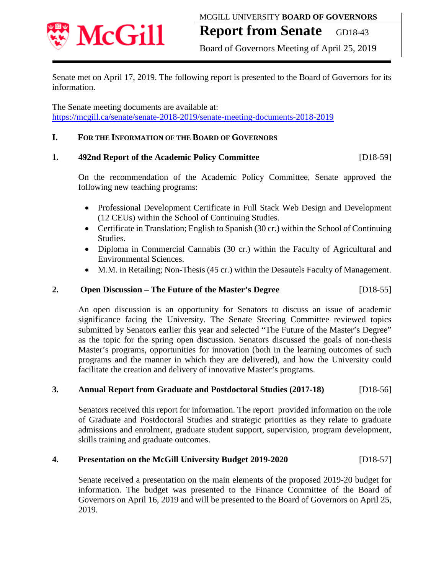

# **Report from Senate** GD18-43

Board of Governors Meeting of April 25, 2019

Senate met on April 17, 2019. The following report is presented to the Board of Governors for its information.

The Senate meeting documents are available at: <https://mcgill.ca/senate/senate-2018-2019/senate-meeting-documents-2018-2019>

## **I. FOR THE INFORMATION OF THE BOARD OF GOVERNORS**

## **1. 492nd Report of the Academic Policy Committee** [D18-59]

On the recommendation of the Academic Policy Committee, Senate approved the following new teaching programs:

- Professional Development Certificate in Full Stack Web Design and Development (12 CEUs) within the School of Continuing Studies.
- Certificate in Translation; English to Spanish (30 cr.) within the School of Continuing Studies.
- Diploma in Commercial Cannabis (30 cr.) within the Faculty of Agricultural and Environmental Sciences.
- M.M. in Retailing; Non-Thesis (45 cr.) within the Desautels Faculty of Management.

# **2. Open Discussion – The Future of the Master's Degree** [D18-55]

An open discussion is an opportunity for Senators to discuss an issue of academic significance facing the University. The Senate Steering Committee reviewed topics submitted by Senators earlier this year and selected "The Future of the Master's Degree" as the topic for the spring open discussion. Senators discussed the goals of non-thesis Master's programs, opportunities for innovation (both in the learning outcomes of such programs and the manner in which they are delivered), and how the University could facilitate the creation and delivery of innovative Master's programs.

## **3. Annual Report from Graduate and Postdoctoral Studies (2017-18)** [D18-56]

Senators received this report for information. The report provided information on the role of Graduate and Postdoctoral Studies and strategic priorities as they relate to graduate admissions and enrolment, graduate student support, supervision, program development, skills training and graduate outcomes.

## **4. Presentation on the McGill University Budget 2019-2020** [D18-57]

Senate received a presentation on the main elements of the proposed 2019-20 budget for information. The budget was presented to the Finance Committee of the Board of Governors on April 16, 2019 and will be presented to the Board of Governors on April 25, 2019.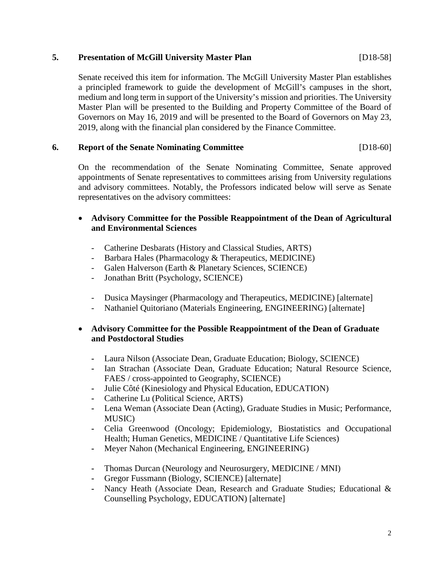## **5. Presentation of McGill University Master Plan** [D18-58]

Senate received this item for information. The McGill University Master Plan establishes a principled framework to guide the development of McGill's campuses in the short, medium and long term in support of the University's mission and priorities. The University Master Plan will be presented to the Building and Property Committee of the Board of Governors on May 16, 2019 and will be presented to the Board of Governors on May 23, 2019, along with the financial plan considered by the Finance Committee.

# **6. Report of the Senate Nominating Committee** [D18-60]

On the recommendation of the Senate Nominating Committee, Senate approved appointments of Senate representatives to committees arising from University regulations and advisory committees. Notably, the Professors indicated below will serve as Senate representatives on the advisory committees:

# • **Advisory Committee for the Possible Reappointment of the Dean of Agricultural and Environmental Sciences**

- Catherine Desbarats (History and Classical Studies, ARTS)
- Barbara Hales (Pharmacology & Therapeutics, MEDICINE)
- Galen Halverson (Earth & Planetary Sciences, SCIENCE)
- Jonathan Britt (Psychology, SCIENCE)
- Dusica Maysinger (Pharmacology and Therapeutics, MEDICINE) [alternate]
- Nathaniel Quitoriano (Materials Engineering, ENGINEERING) [alternate]

## • **Advisory Committee for the Possible Reappointment of the Dean of Graduate and Postdoctoral Studies**

- **-** Laura Nilson (Associate Dean, Graduate Education; Biology, SCIENCE)
- **-** Ian Strachan (Associate Dean, Graduate Education; Natural Resource Science, FAES / cross-appointed to Geography, SCIENCE)
- **-** Julie Côté (Kinesiology and Physical Education, EDUCATION)
- **-** Catherine Lu (Political Science, ARTS)
- **-** Lena Weman (Associate Dean (Acting), Graduate Studies in Music; Performance, MUSIC)
- **-** Celia Greenwood (Oncology; Epidemiology, Biostatistics and Occupational Health; Human Genetics, MEDICINE / Quantitative Life Sciences)
- **-** Meyer Nahon (Mechanical Engineering, ENGINEERING)
- **-** Thomas Durcan (Neurology and Neurosurgery, MEDICINE / MNI)
- **-** Gregor Fussmann (Biology, SCIENCE) [alternate]
- **-** Nancy Heath (Associate Dean, Research and Graduate Studies; Educational & Counselling Psychology, EDUCATION) [alternate]